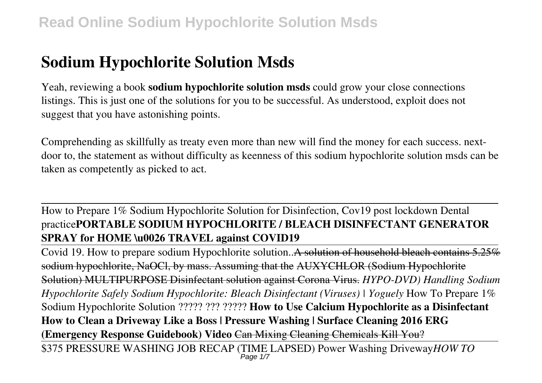# **Sodium Hypochlorite Solution Msds**

Yeah, reviewing a book **sodium hypochlorite solution msds** could grow your close connections listings. This is just one of the solutions for you to be successful. As understood, exploit does not suggest that you have astonishing points.

Comprehending as skillfully as treaty even more than new will find the money for each success. nextdoor to, the statement as without difficulty as keenness of this sodium hypochlorite solution msds can be taken as competently as picked to act.

## How to Prepare 1% Sodium Hypochlorite Solution for Disinfection, Cov19 post lockdown Dental practice**PORTABLE SODIUM HYPOCHLORITE / BLEACH DISINFECTANT GENERATOR SPRAY for HOME \u0026 TRAVEL against COVID19**

Covid 19. How to prepare sodium Hypochlorite solution..A solution of household bleach contains 5.25% sodium hypochlorite, NaOCl, by mass. Assuming that the AUXYCHLOR (Sodium Hypochlorite Solution) MULTIPURPOSE Disinfectant solution against Corona Virus. *HYPO-DVD) Handling Sodium Hypochlorite Safely Sodium Hypochlorite: Bleach Disinfectant (Viruses) | Yoguely* How To Prepare 1% Sodium Hypochlorite Solution ????? ??? ????? **How to Use Calcium Hypochlorite as a Disinfectant How to Clean a Driveway Like a Boss | Pressure Washing | Surface Cleaning 2016 ERG (Emergency Response Guidebook) Video** Can Mixing Cleaning Chemicals Kill You?

\$375 PRESSURE WASHING JOB RECAP (TIME LAPSED) Power Washing Driveway*HOW TO* Page 1/7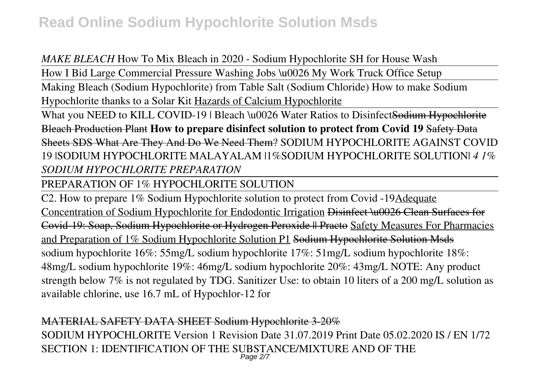## *MAKE BLEACH* How To Mix Bleach in 2020 - Sodium Hypochlorite SH for House Wash

How I Bid Large Commercial Pressure Washing Jobs \u0026 My Work Truck Office Setup

Making Bleach (Sodium Hypochlorite) from Table Salt (Sodium Chloride) How to make Sodium Hypochlorite thanks to a Solar Kit Hazards of Calcium Hypochlorite

What you NEED to KILL COVID-19 | Bleach \u0026 Water Ratios to Disinfect<del>Sodium Hypochlorite</del> Bleach Production Plant **How to prepare disinfect solution to protect from Covid 19** Safety Data Sheets SDS What Are They And Do We Need Them? SODIUM HYPOCHLORITE AGAINST COVID 19 |SODIUM HYPOCHLORITE MALAYALAM |1%SODIUM HYPOCHLORITE SOLUTION| *4 1% SODIUM HYPOCHLORITE PREPARATION*

PREPARATION OF 1% HYPOCHLORITE SOLUTION

C2. How to prepare 1% Sodium Hypochlorite solution to protect from Covid -19Adequate Concentration of Sodium Hypochlorite for Endodontic Irrigation Disinfect \u0026 Clean Surfaces for Covid-19: Soap, Sodium Hypochlorite or Hydrogen Peroxide || Practo Safety Measures For Pharmacies and Preparation of 1% Sodium Hypochlorite Solution P1 Sodium Hypochlorite Solution Msds sodium hypochlorite 16%: 55mg/L sodium hypochlorite 17%: 51mg/L sodium hypochlorite 18%: 48mg/L sodium hypochlorite 19%: 46mg/L sodium hypochlorite 20%: 43mg/L NOTE: Any product strength below 7% is not regulated by TDG. Sanitizer Use: to obtain 10 liters of a 200 mg/L solution as available chlorine, use 16.7 mL of Hypochlor-12 for

### MATERIAL SAFETY DATA SHEET Sodium Hypochlorite 3-20% SODIUM HYPOCHLORITE Version 1 Revision Date 31.07.2019 Print Date 05.02.2020 IS / EN 1/72 SECTION 1: IDENTIFICATION OF THE SUBSTANCE/MIXTURE AND OF THE Page 2/7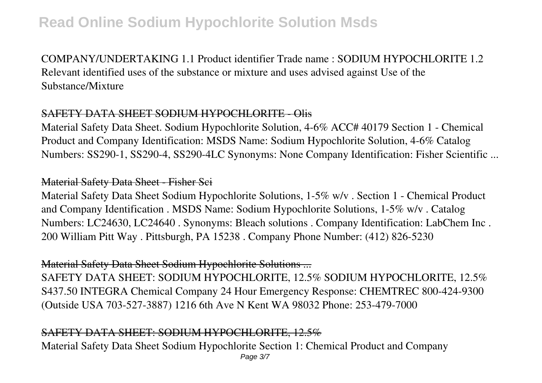COMPANY/UNDERTAKING 1.1 Product identifier Trade name : SODIUM HYPOCHLORITE 1.2 Relevant identified uses of the substance or mixture and uses advised against Use of the Substance/Mixture

### SAFETY DATA SHEET SODIUM HYPOCHLORITE - Olis

Material Safety Data Sheet. Sodium Hypochlorite Solution, 4-6% ACC# 40179 Section 1 - Chemical Product and Company Identification: MSDS Name: Sodium Hypochlorite Solution, 4-6% Catalog Numbers: SS290-1, SS290-4, SS290-4LC Synonyms: None Company Identification: Fisher Scientific ...

### Material Safety Data Sheet - Fisher Sci

Material Safety Data Sheet Sodium Hypochlorite Solutions, 1-5% w/v . Section 1 - Chemical Product and Company Identification . MSDS Name: Sodium Hypochlorite Solutions, 1-5% w/v . Catalog Numbers: LC24630, LC24640 . Synonyms: Bleach solutions . Company Identification: LabChem Inc . 200 William Pitt Way . Pittsburgh, PA 15238 . Company Phone Number: (412) 826-5230

### Material Safety Data Sheet Sodium Hypochlorite Solutions ...

SAFETY DATA SHEET: SODIUM HYPOCHLORITE, 12.5% SODIUM HYPOCHLORITE, 12.5% S437.50 INTEGRA Chemical Company 24 Hour Emergency Response: CHEMTREC 800-424-9300 (Outside USA 703-527-3887) 1216 6th Ave N Kent WA 98032 Phone: 253-479-7000

### SAFETY DATA SHEET: SODIUM HYPOCHLORITE, 12.5%

Material Safety Data Sheet Sodium Hypochlorite Section 1: Chemical Product and Company Page 3/7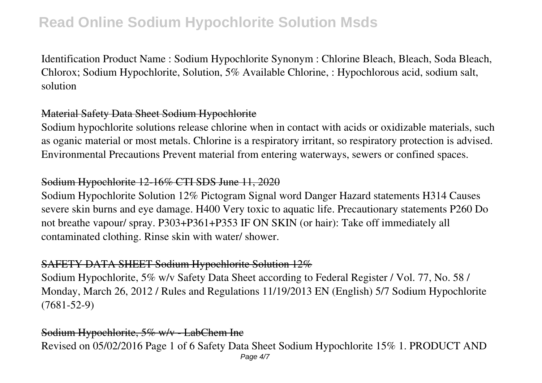Identification Product Name : Sodium Hypochlorite Synonym : Chlorine Bleach, Bleach, Soda Bleach, Chlorox; Sodium Hypochlorite, Solution, 5% Available Chlorine, : Hypochlorous acid, sodium salt, solution

### Material Safety Data Sheet Sodium Hypochlorite

Sodium hypochlorite solutions release chlorine when in contact with acids or oxidizable materials, such as oganic material or most metals. Chlorine is a respiratory irritant, so respiratory protection is advised. Environmental Precautions Prevent material from entering waterways, sewers or confined spaces.

### Sodium Hypochlorite 12-16% CTI SDS June 11, 2020

Sodium Hypochlorite Solution 12% Pictogram Signal word Danger Hazard statements H314 Causes severe skin burns and eye damage. H400 Very toxic to aquatic life. Precautionary statements P260 Do not breathe vapour/ spray. P303+P361+P353 IF ON SKIN (or hair): Take off immediately all contaminated clothing. Rinse skin with water/ shower.

## SAFETY DATA SHEET Sodium Hypochlorite Solution 12%

Sodium Hypochlorite, 5% w/v Safety Data Sheet according to Federal Register / Vol. 77, No. 58 / Monday, March 26, 2012 / Rules and Regulations 11/19/2013 EN (English) 5/7 Sodium Hypochlorite (7681-52-9)

### Sodium Hypochlorite, 5% w/v - LabChem Inc Revised on 05/02/2016 Page 1 of 6 Safety Data Sheet Sodium Hypochlorite 15% 1. PRODUCT AND Page  $4/7$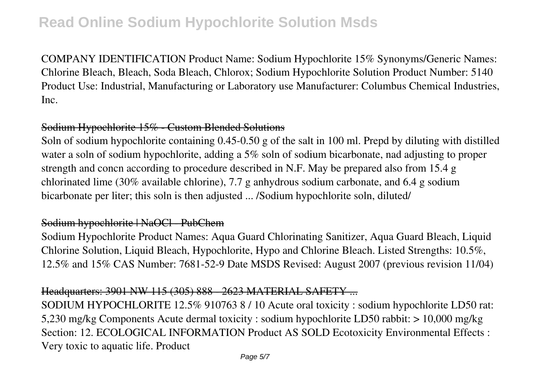COMPANY IDENTIFICATION Product Name: Sodium Hypochlorite 15% Synonyms/Generic Names: Chlorine Bleach, Bleach, Soda Bleach, Chlorox; Sodium Hypochlorite Solution Product Number: 5140 Product Use: Industrial, Manufacturing or Laboratory use Manufacturer: Columbus Chemical Industries, Inc.

### Sodium Hypochlorite 15% - Custom Blended Solutions

Soln of sodium hypochlorite containing 0.45-0.50 g of the salt in 100 ml. Prepd by diluting with distilled water a soln of sodium hypochlorite, adding a 5% soln of sodium bicarbonate, nad adjusting to proper strength and concn according to procedure described in N.F. May be prepared also from 15.4 g chlorinated lime (30% available chlorine), 7.7 g anhydrous sodium carbonate, and 6.4 g sodium bicarbonate per liter; this soln is then adjusted ... /Sodium hypochlorite soln, diluted/

### Sodium hypochlorite | NaOCl - PubChem

Sodium Hypochlorite Product Names: Aqua Guard Chlorinating Sanitizer, Aqua Guard Bleach, Liquid Chlorine Solution, Liquid Bleach, Hypochlorite, Hypo and Chlorine Bleach. Listed Strengths: 10.5%, 12.5% and 15% CAS Number: 7681-52-9 Date MSDS Revised: August 2007 (previous revision 11/04)

### Headquarters: 3901 NW 115 (305) 888 - 2623 MATERIAL SAFETY ...

SODIUM HYPOCHLORITE 12.5% 910763 8 / 10 Acute oral toxicity : sodium hypochlorite LD50 rat: 5,230 mg/kg Components Acute dermal toxicity : sodium hypochlorite LD50 rabbit: > 10,000 mg/kg Section: 12. ECOLOGICAL INFORMATION Product AS SOLD Ecotoxicity Environmental Effects : Very toxic to aquatic life. Product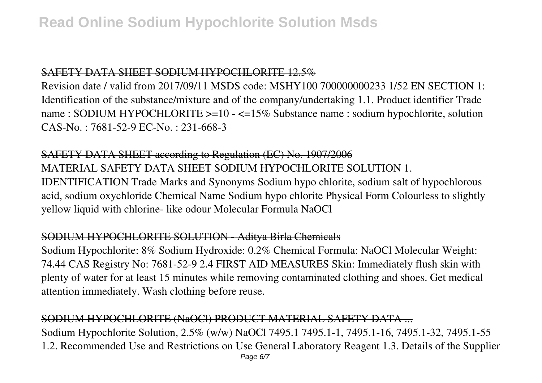### SAFETY DATA SHEET SODIUM HYPOCHLORITE 12.5%

Revision date / valid from 2017/09/11 MSDS code: MSHY100 700000000233 1/52 EN SECTION 1: Identification of the substance/mixture and of the company/undertaking 1.1. Product identifier Trade name : SODIUM HYPOCHLORITE >=10 - <=15% Substance name : sodium hypochlorite, solution CAS-No. : 7681-52-9 EC-No. : 231-668-3

## SAFETY DATA SHEET according to Regulation (EC) No. 1907/2006

## MATERIAL SAFETY DATA SHEET SODIUM HYPOCHLORITE SOLUTION 1.

IDENTIFICATION Trade Marks and Synonyms Sodium hypo chlorite, sodium salt of hypochlorous acid, sodium oxychloride Chemical Name Sodium hypo chlorite Physical Form Colourless to slightly yellow liquid with chlorine- like odour Molecular Formula NaOCl

### SODIUM HYPOCHLORITE SOLUTION - Aditya Birla Chemicals

Sodium Hypochlorite: 8% Sodium Hydroxide: 0.2% Chemical Formula: NaOCl Molecular Weight: 74.44 CAS Registry No: 7681-52-9 2.4 FIRST AID MEASURES Skin: Immediately flush skin with plenty of water for at least 15 minutes while removing contaminated clothing and shoes. Get medical attention immediately. Wash clothing before reuse.

### SODIUM HYPOCHLORITE (NaOCl) PRODUCT MATERIAL SAFETY DATA ...

Sodium Hypochlorite Solution, 2.5% (w/w) NaOCl 7495.1 7495.1-1, 7495.1-16, 7495.1-32, 7495.1-55 1.2. Recommended Use and Restrictions on Use General Laboratory Reagent 1.3. Details of the Supplier Page 6/7